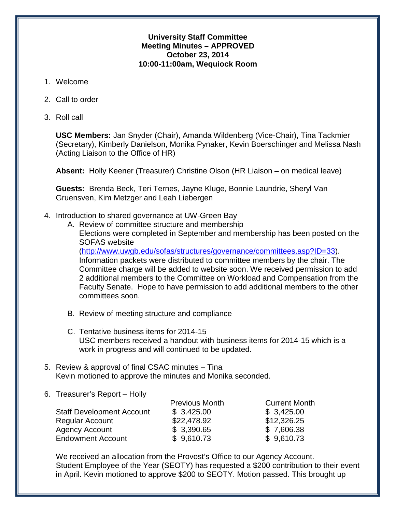### **University Staff Committee Meeting Minutes – APPROVED October 23, 2014 10:00-11:00am, Wequiock Room**

- 1. Welcome
- 2. Call to order
- 3. Roll call

**USC Members:** Jan Snyder (Chair), Amanda Wildenberg (Vice-Chair), Tina Tackmier (Secretary), Kimberly Danielson, Monika Pynaker, Kevin Boerschinger and Melissa Nash (Acting Liaison to the Office of HR)

**Absent:** Holly Keener (Treasurer) Christine Olson (HR Liaison – on medical leave)

**Guests:** Brenda Beck, Teri Ternes, Jayne Kluge, Bonnie Laundrie, Sheryl Van Gruensven, Kim Metzger and Leah Liebergen

- 4. Introduction to shared governance at UW-Green Bay
	- A. Review of committee structure and membership
		- Elections were completed in September and membership has been posted on the SOFAS website

[\(http://www.uwgb.edu/sofas/structures/governance/committees.asp?ID=33\)](http://www.uwgb.edu/sofas/structures/governance/committees.asp?ID=33). Information packets were distributed to committee members by the chair. The Committee charge will be added to website soon. We received permission to add 2 additional members to the Committee on Workload and Compensation from the Faculty Senate. Hope to have permission to add additional members to the other committees soon.

- B. Review of meeting structure and compliance
- C. Tentative business items for 2014-15 USC members received a handout with business items for 2014-15 which is a work in progress and will continued to be updated.
- 5. Review & approval of final CSAC minutes Tina Kevin motioned to approve the minutes and Monika seconded.
- 6. Treasurer's Report Holly

|                                  | <b>Previous Month</b> | <b>Current Month</b> |
|----------------------------------|-----------------------|----------------------|
| <b>Staff Development Account</b> | \$3.425.00            | \$3,425.00           |
| Regular Account                  | \$22,478.92           | \$12,326.25          |
| Agency Account                   | \$3,390.65            | \$7,606.38           |
| <b>Endowment Account</b>         | \$9,610.73            | \$9,610.73           |
|                                  |                       |                      |

We received an allocation from the Provost's Office to our Agency Account. Student Employee of the Year (SEOTY) has requested a \$200 contribution to their event in April. Kevin motioned to approve \$200 to SEOTY. Motion passed. This brought up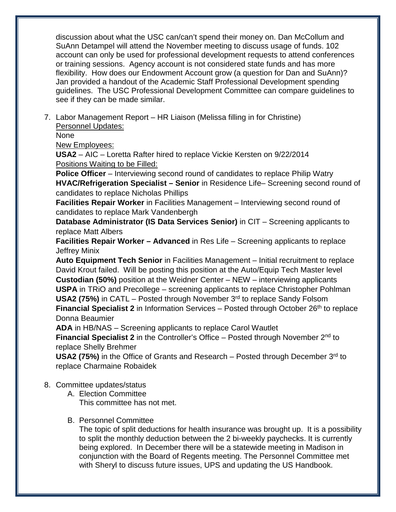discussion about what the USC can/can't spend their money on. Dan McCollum and SuAnn Detampel will attend the November meeting to discuss usage of funds. 102 account can only be used for professional development requests to attend conferences or training sessions. Agency account is not considered state funds and has more flexibility. How does our Endowment Account grow (a question for Dan and SuAnn)? Jan provided a handout of the Academic Staff Professional Development spending guidelines. The USC Professional Development Committee can compare guidelines to see if they can be made similar.

7. Labor Management Report – HR Liaison (Melissa filling in for Christine) Personnel Updates:

None

New Employees:

**USA2** – AIC – Loretta Rafter hired to replace Vickie Kersten on 9/22/2014 Positions Waiting to be Filled:

**Police Officer** – Interviewing second round of candidates to replace Philip Watry **HVAC/Refrigeration Specialist – Senior** in Residence Life– Screening second round of candidates to replace Nicholas Phillips

**Facilities Repair Worker** in Facilities Management – Interviewing second round of candidates to replace Mark Vandenbergh

**Database Administrator (IS Data Services Senior)** in CIT – Screening applicants to replace Matt Albers

**Facilities Repair Worker – Advanced** in Res Life – Screening applicants to replace Jeffrey Minix

**Auto Equipment Tech Senior** in Facilities Management – Initial recruitment to replace David Krout failed. Will be posting this position at the Auto/Equip Tech Master level **Custodian (50%)** position at the Weidner Center – NEW – interviewing applicants **USPA** in TRiO and Precollege – screening applicants to replace Christopher Pohlman **USA2 (75%)** in CATL – Posted through November 3<sup>rd</sup> to replace Sandy Folsom **Financial Specialist 2** in Information Services – Posted through October 26<sup>th</sup> to replace Donna Beaumier

**ADA** in HB/NAS – Screening applicants to replace Carol Wautlet

**Financial Specialist 2** in the Controller's Office – Posted through November 2<sup>nd</sup> to replace Shelly Brehmer

USA2 (75%) in the Office of Grants and Research – Posted through December 3<sup>rd</sup> to replace Charmaine Robaidek

# 8. Committee updates/status

A. Election Committee This committee has not met.

# B. Personnel Committee

The topic of split deductions for health insurance was brought up. It is a possibility to split the monthly deduction between the 2 bi-weekly paychecks. It is currently being explored. In December there will be a statewide meeting in Madison in conjunction with the Board of Regents meeting. The Personnel Committee met with Sheryl to discuss future issues, UPS and updating the US Handbook.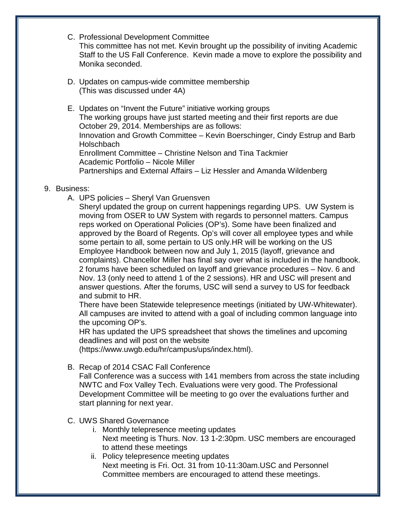C. Professional Development Committee

This committee has not met. Kevin brought up the possibility of inviting Academic Staff to the US Fall Conference. Kevin made a move to explore the possibility and Monika seconded.

- D. Updates on campus-wide committee membership (This was discussed under 4A)
- E. Updates on "Invent the Future" initiative working groups The working groups have just started meeting and their first reports are due October 29, 2014. Memberships are as follows: Innovation and Growth Committee – Kevin Boerschinger, Cindy Estrup and Barb **Holschbach** Enrollment Committee – Christine Nelson and Tina Tackmier Academic Portfolio – Nicole Miller Partnerships and External Affairs – Liz Hessler and Amanda Wildenberg

## 9. Business:

A. UPS policies – Sheryl Van Gruensven

Sheryl updated the group on current happenings regarding UPS. UW System is moving from OSER to UW System with regards to personnel matters. Campus reps worked on Operational Policies (OP's). Some have been finalized and approved by the Board of Regents. Op's will cover all employee types and while some pertain to all, some pertain to US only.HR will be working on the US Employee Handbook between now and July 1, 2015 (layoff, grievance and complaints). Chancellor Miller has final say over what is included in the handbook. 2 forums have been scheduled on layoff and grievance procedures – Nov. 6 and Nov. 13 (only need to attend 1 of the 2 sessions). HR and USC will present and answer questions. After the forums, USC will send a survey to US for feedback and submit to HR.

There have been Statewide telepresence meetings (initiated by UW-Whitewater). All campuses are invited to attend with a goal of including common language into the upcoming OP's.

HR has updated the UPS spreadsheet that shows the timelines and upcoming deadlines and will post on the website

(https://www.uwgb.edu/hr/campus/ups/index.html).

# B. Recap of 2014 CSAC Fall Conference

Fall Conference was a success with 141 members from across the state including NWTC and Fox Valley Tech. Evaluations were very good. The Professional Development Committee will be meeting to go over the evaluations further and start planning for next year.

- C. UWS Shared Governance
	- i. Monthly telepresence meeting updates Next meeting is Thurs. Nov. 13 1-2:30pm. USC members are encouraged to attend these meetings
	- ii. Policy telepresence meeting updates Next meeting is Fri. Oct. 31 from 10-11:30am.USC and Personnel Committee members are encouraged to attend these meetings.